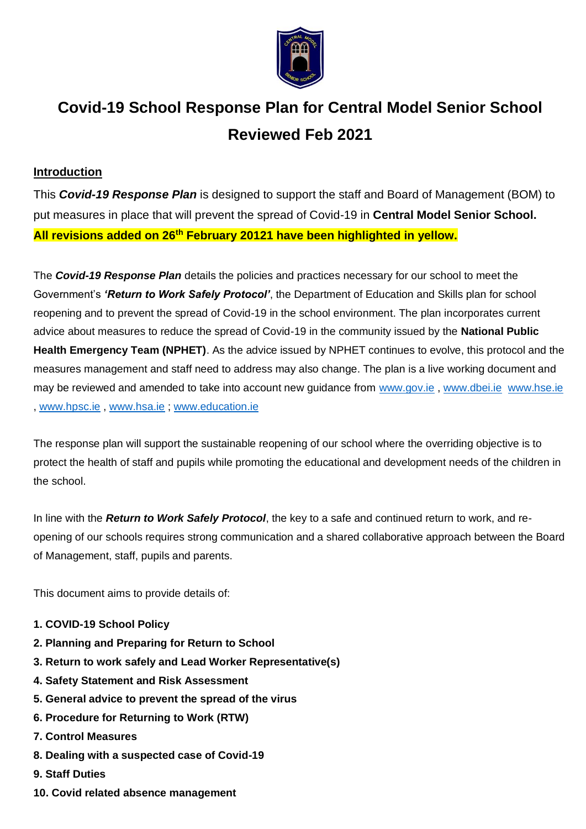

# **Covid-19 School Response Plan for Central Model Senior School Reviewed Feb 2021**

#### **Introduction**

This *Covid-19 Response Plan* is designed to support the staff and Board of Management (BOM) to put measures in place that will prevent the spread of Covid-19 in **Central Model Senior School. All revisions added on 26th February 20121 have been highlighted in yellow.**

The *Covid-19 Response Plan* details the policies and practices necessary for our school to meet the Government's *'Return to Work Safely Protocol'*, the Department of Education and Skills plan for school reopening and to prevent the spread of Covid-19 in the school environment. The plan incorporates current advice about measures to reduce the spread of Covid-19 in the community issued by the **National Public Health Emergency Team (NPHET)**. As the advice issued by NPHET continues to evolve, this protocol and the measures management and staff need to address may also change. The plan is a live working document and may be reviewed and amended to take into account new guidance from [www.gov.ie](http://www.gov.ie/), [www.dbei.ie](http://www.dbei.ie/) [www.hse.ie](http://www.hse.ie/) , [www.hpsc.ie](http://www.hpsc.ie/) , [www.hsa.ie](http://www.hsa.ie/) ; [www.education.ie](http://www.education.ie/)

The response plan will support the sustainable reopening of our school where the overriding objective is to protect the health of staff and pupils while promoting the educational and development needs of the children in the school.

In line with the *Return to Work Safely Protocol*, the key to a safe and continued return to work, and reopening of our schools requires strong communication and a shared collaborative approach between the Board of Management, staff, pupils and parents.

This document aims to provide details of:

- **1. COVID-19 School Policy**
- **2. Planning and Preparing for Return to School**
- **3. Return to work safely and Lead Worker Representative(s)**
- **4. Safety Statement and Risk Assessment**
- **5. General advice to prevent the spread of the virus**
- **6. Procedure for Returning to Work (RTW)**
- **7. Control Measures**
- **8. Dealing with a suspected case of Covid-19**
- **9. Staff Duties**
- **10. Covid related absence management**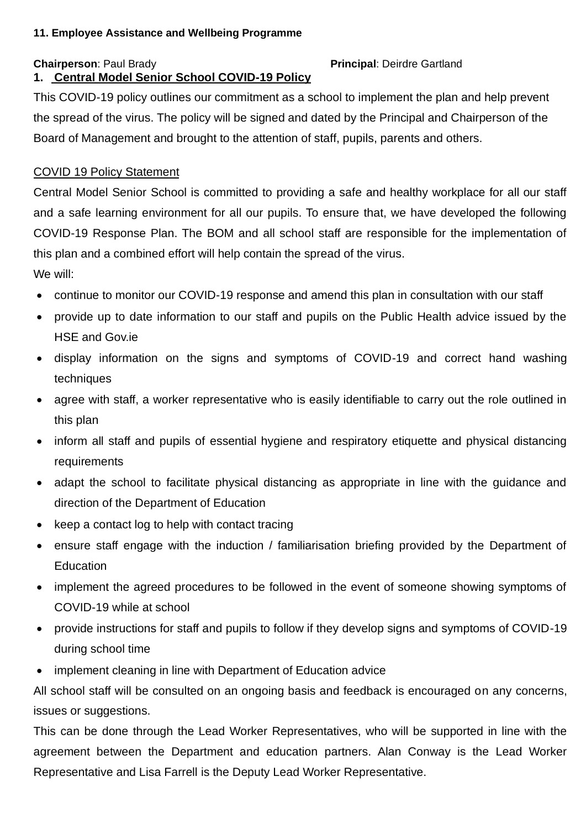#### **11. Employee Assistance and Wellbeing Programme**

#### **Chairperson**: Paul Brady **Principal: Deirdre Gartland**

# **1. Central Model Senior School COVID-19 Policy**

This COVID-19 policy outlines our commitment as a school to implement the plan and help prevent the spread of the virus. The policy will be signed and dated by the Principal and Chairperson of the Board of Management and brought to the attention of staff, pupils, parents and others.

#### COVID 19 Policy Statement

Central Model Senior School is committed to providing a safe and healthy workplace for all our staff and a safe learning environment for all our pupils. To ensure that, we have developed the following COVID-19 Response Plan. The BOM and all school staff are responsible for the implementation of this plan and a combined effort will help contain the spread of the virus.

We will:

- continue to monitor our COVID-19 response and amend this plan in consultation with our staff
- provide up to date information to our staff and pupils on the Public Health advice issued by the HSE and Gov.ie
- display information on the signs and symptoms of COVID-19 and correct hand washing techniques
- agree with staff, a worker representative who is easily identifiable to carry out the role outlined in this plan
- inform all staff and pupils of essential hygiene and respiratory etiquette and physical distancing requirements
- adapt the school to facilitate physical distancing as appropriate in line with the guidance and direction of the Department of Education
- keep a contact log to help with contact tracing
- ensure staff engage with the induction / familiarisation briefing provided by the Department of **Education**
- implement the agreed procedures to be followed in the event of someone showing symptoms of COVID-19 while at school
- provide instructions for staff and pupils to follow if they develop signs and symptoms of COVID-19 during school time
- implement cleaning in line with Department of Education advice

All school staff will be consulted on an ongoing basis and feedback is encouraged on any concerns, issues or suggestions.

This can be done through the Lead Worker Representatives, who will be supported in line with the agreement between the Department and education partners. Alan Conway is the Lead Worker Representative and Lisa Farrell is the Deputy Lead Worker Representative.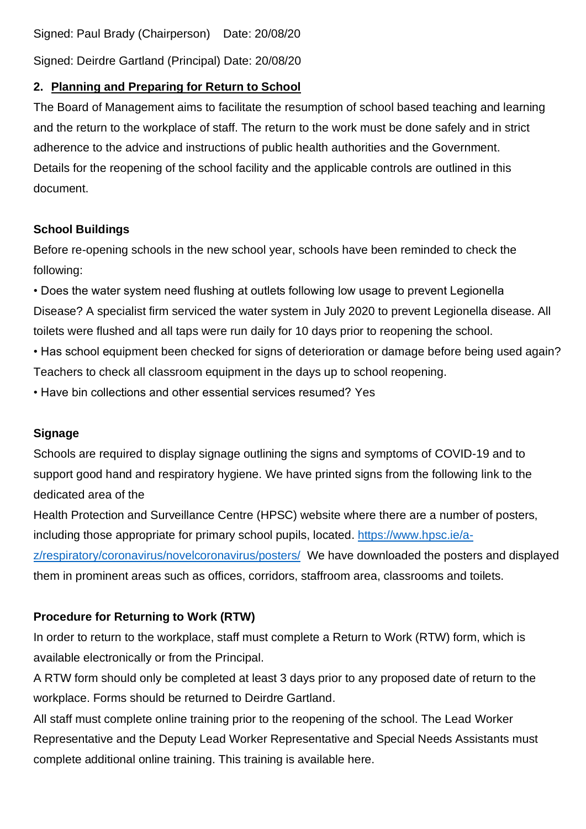Signed: Paul Brady (Chairperson) Date: 20/08/20

Signed: Deirdre Gartland (Principal) Date: 20/08/20

# **2. Planning and Preparing for Return to School**

The Board of Management aims to facilitate the resumption of school based teaching and learning and the return to the workplace of staff. The return to the work must be done safely and in strict adherence to the advice and instructions of public health authorities and the Government. Details for the reopening of the school facility and the applicable controls are outlined in this document.

# **School Buildings**

Before re-opening schools in the new school year, schools have been reminded to check the following:

• Does the water system need flushing at outlets following low usage to prevent Legionella Disease? A specialist firm serviced the water system in July 2020 to prevent Legionella disease. All toilets were flushed and all taps were run daily for 10 days prior to reopening the school.

• Has school equipment been checked for signs of deterioration or damage before being used again? Teachers to check all classroom equipment in the days up to school reopening.

• Have bin collections and other essential services resumed? Yes

# **Signage**

Schools are required to display signage outlining the signs and symptoms of COVID-19 and to support good hand and respiratory hygiene. We have printed signs from the following link to the dedicated area of the

Health Protection and Surveillance Centre (HPSC) website where there are a number of posters, including those appropriate for primary school pupils, located. [https://www.hpsc.ie/a](https://www.hpsc.ie/a-z/respiratory/coronavirus/novelcoronavirus/posters/)[z/respiratory/coronavirus/novelcoronavirus/posters/](https://www.hpsc.ie/a-z/respiratory/coronavirus/novelcoronavirus/posters/) We have downloaded the posters and displayed them in prominent areas such as offices, corridors, staffroom area, classrooms and toilets.

# **Procedure for Returning to Work (RTW)**

In order to return to the workplace, staff must complete a Return to Work (RTW) form, which is available electronically or from the Principal.

A RTW form should only be completed at least 3 days prior to any proposed date of return to the workplace. Forms should be returned to Deirdre Gartland.

All staff must complete online training prior to the reopening of the school. The Lead Worker Representative and the Deputy Lead Worker Representative and Special Needs Assistants must complete additional online training. This training is available here.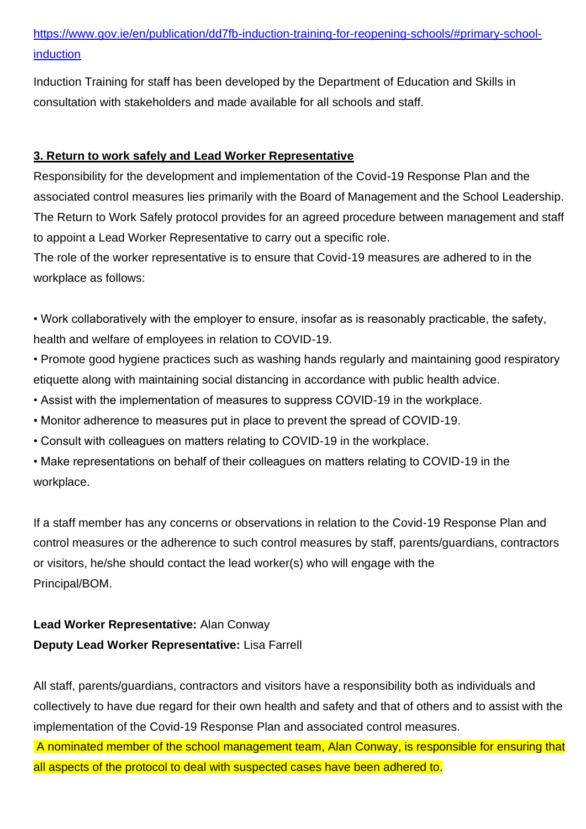# [https://www.gov.ie/en/publication/dd7fb-induction-training-for-reopening-schools/#primary-school](https://www.gov.ie/en/publication/dd7fb-induction-training-for-reopening-schools/#primary-school-induction)[induction](https://www.gov.ie/en/publication/dd7fb-induction-training-for-reopening-schools/#primary-school-induction)

Induction Training for staff has been developed by the Department of Education and Skills in consultation with stakeholders and made available for all schools and staff.

# **3. Return to work safely and Lead Worker Representative**

Responsibility for the development and implementation of the Covid-19 Response Plan and the associated control measures lies primarily with the Board of Management and the School Leadership. The Return to Work Safely protocol provides for an agreed procedure between management and staff to appoint a Lead Worker Representative to carry out a specific role.

The role of the worker representative is to ensure that Covid-19 measures are adhered to in the workplace as follows:

• Work collaboratively with the employer to ensure, insofar as is reasonably practicable, the safety, health and welfare of employees in relation to COVID-19.

• Promote good hygiene practices such as washing hands regularly and maintaining good respiratory etiquette along with maintaining social distancing in accordance with public health advice.

- Assist with the implementation of measures to suppress COVID-19 in the workplace.
- Monitor adherence to measures put in place to prevent the spread of COVID-19.
- Consult with colleagues on matters relating to COVID-19 in the workplace.

• Make representations on behalf of their colleagues on matters relating to COVID-19 in the workplace.

If a staff member has any concerns or observations in relation to the Covid-19 Response Plan and control measures or the adherence to such control measures by staff, parents/guardians, contractors or visitors, he/she should contact the lead worker(s) who will engage with the Principal/BOM.

# **Lead Worker Representative:** Alan Conway **Deputy Lead Worker Representative:** Lisa Farrell

All staff, parents/guardians, contractors and visitors have a responsibility both as individuals and collectively to have due regard for their own health and safety and that of others and to assist with the implementation of the Covid-19 Response Plan and associated control measures.

A nominated member of the school management team, Alan Conway, is responsible for ensuring that all aspects of the protocol to deal with suspected cases have been adhered to.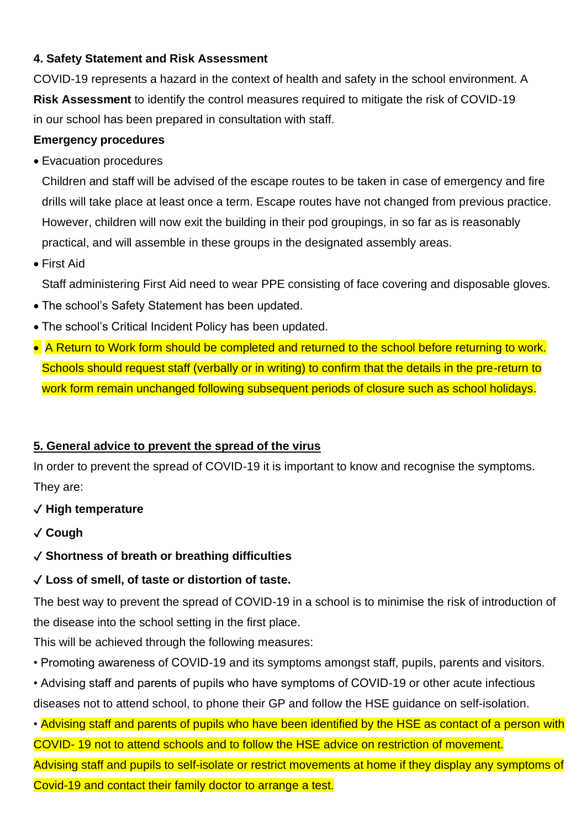# **4. Safety Statement and Risk Assessment**

COVID-19 represents a hazard in the context of health and safety in the school environment. A **Risk Assessment** to identify the control measures required to mitigate the risk of COVID-19 in our school has been prepared in consultation with staff.

#### **Emergency procedures**

• Evacuation procedures

Children and staff will be advised of the escape routes to be taken in case of emergency and fire drills will take place at least once a term. Escape routes have not changed from previous practice. However, children will now exit the building in their pod groupings, in so far as is reasonably practical, and will assemble in these groups in the designated assembly areas.

• First Aid

Staff administering First Aid need to wear PPE consisting of face covering and disposable gloves.

- The school's Safety Statement has been updated.
- The school's Critical Incident Policy has been updated.
- A Return to Work form should be completed and returned to the school before returning to work. Schools should request staff (verbally or in writing) to confirm that the details in the pre-return to work form remain unchanged following subsequent periods of closure such as school holidays.

# **5. General advice to prevent the spread of the virus**

In order to prevent the spread of COVID-19 it is important to know and recognise the symptoms. They are:

# ✓ **High temperature**

✓ **Cough**

# ✓ **Shortness of breath or breathing difficulties**

# ✓ **Loss of smell, of taste or distortion of taste.**

The best way to prevent the spread of COVID-19 in a school is to minimise the risk of introduction of the disease into the school setting in the first place.

This will be achieved through the following measures:

• Promoting awareness of COVID-19 and its symptoms amongst staff, pupils, parents and visitors.

• Advising staff and parents of pupils who have symptoms of COVID-19 or other acute infectious diseases not to attend school, to phone their GP and follow the HSE guidance on self-isolation.

• Advising staff and parents of pupils who have been identified by the HSE as contact of a person with

COVID- 19 not to attend schools and to follow the HSE advice on restriction of movement. Advising staff and pupils to self-isolate or restrict movements at home if they display any symptoms of Covid-19 and contact their family doctor to arrange a test.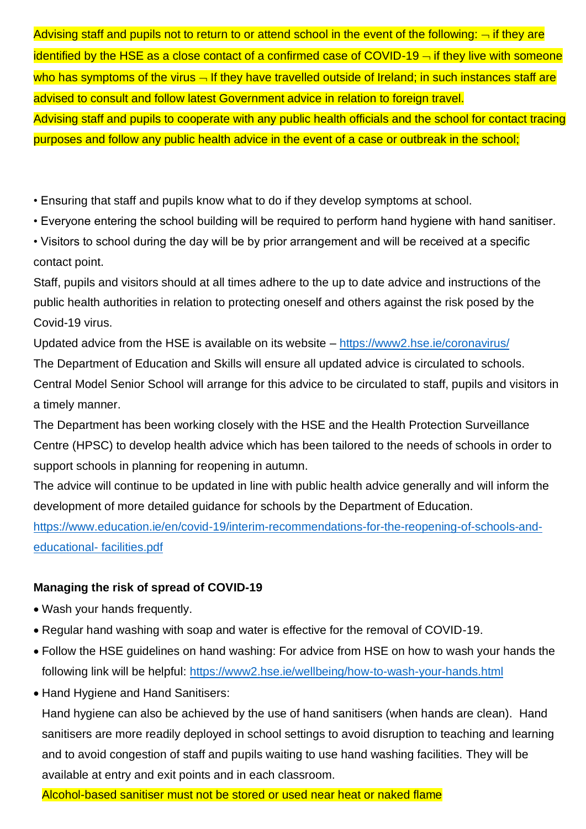Advising staff and pupils not to return to or attend school in the event of the following:  $\lnot$  if they are identified by the HSE as a close contact of a confirmed case of COVID-19  $-$  if they live with someone who has symptoms of the virus  $\overline{\phantom{a}}$  If they have travelled outside of Ireland; in such instances staff are advised to consult and follow latest Government advice in relation to foreign travel. Advising staff and pupils to cooperate with any public health officials and the school for contact tracing purposes and follow any public health advice in the event of a case or outbreak in the school;

• Ensuring that staff and pupils know what to do if they develop symptoms at school.

• Everyone entering the school building will be required to perform hand hygiene with hand sanitiser.

• Visitors to school during the day will be by prior arrangement and will be received at a specific contact point.

Staff, pupils and visitors should at all times adhere to the up to date advice and instructions of the public health authorities in relation to protecting oneself and others against the risk posed by the Covid-19 virus.

Updated advice from the HSE is available on its website – <https://www2.hse.ie/coronavirus/> The Department of Education and Skills will ensure all updated advice is circulated to schools. Central Model Senior School will arrange for this advice to be circulated to staff, pupils and visitors in a timely manner.

The Department has been working closely with the HSE and the Health Protection Surveillance Centre (HPSC) to develop health advice which has been tailored to the needs of schools in order to support schools in planning for reopening in autumn.

The advice will continue to be updated in line with public health advice generally and will inform the development of more detailed guidance for schools by the Department of Education.

[https://www.education.ie/en/covid-19/interim-recommendations-for-the-reopening-of-schools-and](https://www.education.ie/en/covid-19/interim-recommendations-for-the-reopening-of-schools-and-educational-%20facilities.pdf)[educational-](https://www.education.ie/en/covid-19/interim-recommendations-for-the-reopening-of-schools-and-educational-%20facilities.pdf) facilities.pdf

# **Managing the risk of spread of COVID-19**

- Wash your hands frequently.
- Regular hand washing with soap and water is effective for the removal of COVID-19.
- Follow the HSE guidelines on hand washing: For advice from HSE on how to wash your hands the following link will be helpful: <https://www2.hse.ie/wellbeing/how-to-wash-your-hands.html>
- Hand Hygiene and Hand Sanitisers:

Hand hygiene can also be achieved by the use of hand sanitisers (when hands are clean). Hand sanitisers are more readily deployed in school settings to avoid disruption to teaching and learning and to avoid congestion of staff and pupils waiting to use hand washing facilities. They will be available at entry and exit points and in each classroom.

Alcohol-based sanitiser must not be stored or used near heat or naked flame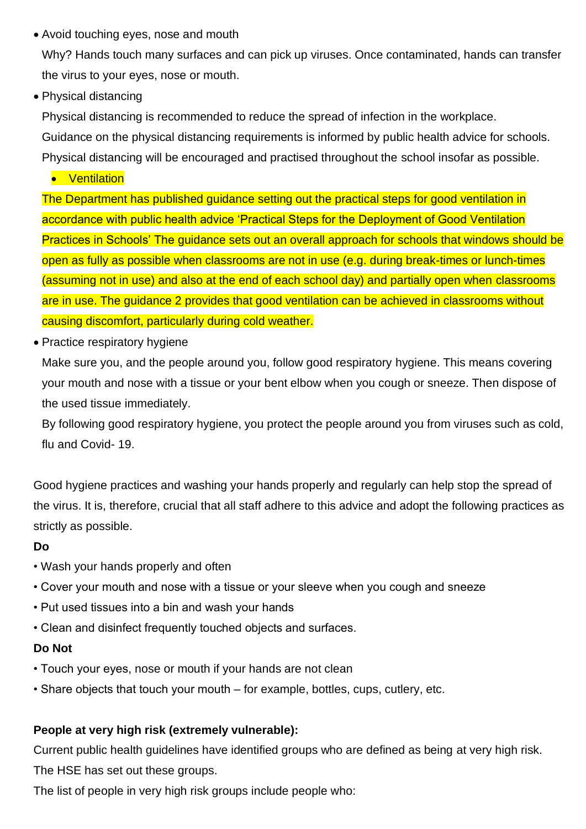• Avoid touching eyes, nose and mouth

Why? Hands touch many surfaces and can pick up viruses. Once contaminated, hands can transfer the virus to your eyes, nose or mouth.

• Physical distancing

Physical distancing is recommended to reduce the spread of infection in the workplace. Guidance on the physical distancing requirements is informed by public health advice for schools. Physical distancing will be encouraged and practised throughout the school insofar as possible.

• Ventilation

The Department has published guidance setting out the practical steps for good ventilation in accordance with public health advice 'Practical Steps for the Deployment of Good Ventilation Practices in Schools' The guidance sets out an overall approach for schools that windows should be open as fully as possible when classrooms are not in use (e.g. during break-times or lunch-times (assuming not in use) and also at the end of each school day) and partially open when classrooms are in use. The guidance 2 provides that good ventilation can be achieved in classrooms without causing discomfort, particularly during cold weather.

• Practice respiratory hygiene

Make sure you, and the people around you, follow good respiratory hygiene. This means covering your mouth and nose with a tissue or your bent elbow when you cough or sneeze. Then dispose of the used tissue immediately.

By following good respiratory hygiene, you protect the people around you from viruses such as cold, flu and Covid- 19.

Good hygiene practices and washing your hands properly and regularly can help stop the spread of the virus. It is, therefore, crucial that all staff adhere to this advice and adopt the following practices as strictly as possible.

# **Do**

- Wash your hands properly and often
- Cover your mouth and nose with a tissue or your sleeve when you cough and sneeze
- Put used tissues into a bin and wash your hands
- Clean and disinfect frequently touched objects and surfaces.

# **Do Not**

- Touch your eyes, nose or mouth if your hands are not clean
- Share objects that touch your mouth for example, bottles, cups, cutlery, etc.

# **People at very high risk (extremely vulnerable):**

Current public health guidelines have identified groups who are defined as being at very high risk. The HSE has set out these groups.

The list of people in very high risk groups include people who: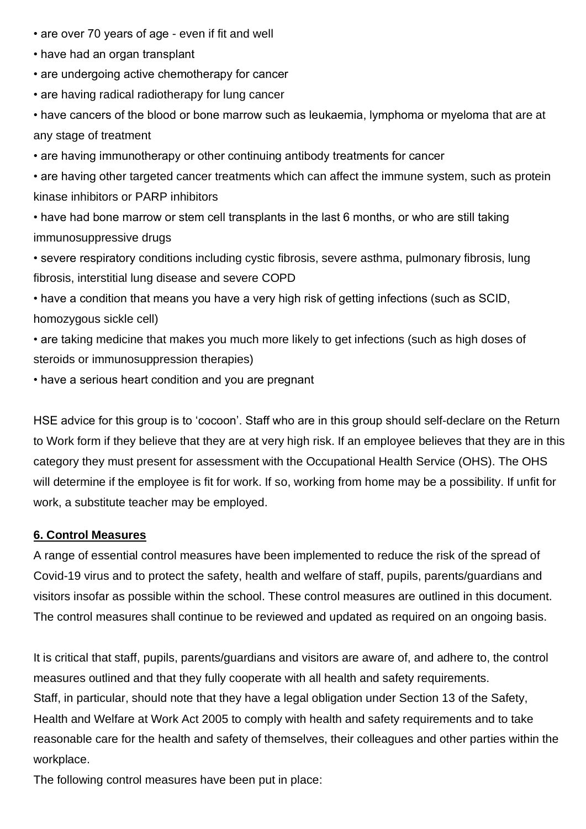- are over 70 years of age even if fit and well
- have had an organ transplant
- are undergoing active chemotherapy for cancer
- are having radical radiotherapy for lung cancer

• have cancers of the blood or bone marrow such as leukaemia, lymphoma or myeloma that are at any stage of treatment

• are having immunotherapy or other continuing antibody treatments for cancer

• are having other targeted cancer treatments which can affect the immune system, such as protein kinase inhibitors or PARP inhibitors

• have had bone marrow or stem cell transplants in the last 6 months, or who are still taking immunosuppressive drugs

• severe respiratory conditions including cystic fibrosis, severe asthma, pulmonary fibrosis, lung fibrosis, interstitial lung disease and severe COPD

• have a condition that means you have a very high risk of getting infections (such as SCID, homozygous sickle cell)

• are taking medicine that makes you much more likely to get infections (such as high doses of steroids or immunosuppression therapies)

• have a serious heart condition and you are pregnant

HSE advice for this group is to 'cocoon'. Staff who are in this group should self-declare on the Return to Work form if they believe that they are at very high risk. If an employee believes that they are in this category they must present for assessment with the Occupational Health Service (OHS). The OHS will determine if the employee is fit for work. If so, working from home may be a possibility. If unfit for work, a substitute teacher may be employed.

#### **6. Control Measures**

A range of essential control measures have been implemented to reduce the risk of the spread of Covid-19 virus and to protect the safety, health and welfare of staff, pupils, parents/guardians and visitors insofar as possible within the school. These control measures are outlined in this document. The control measures shall continue to be reviewed and updated as required on an ongoing basis.

It is critical that staff, pupils, parents/guardians and visitors are aware of, and adhere to, the control measures outlined and that they fully cooperate with all health and safety requirements. Staff, in particular, should note that they have a legal obligation under Section 13 of the Safety, Health and Welfare at Work Act 2005 to comply with health and safety requirements and to take reasonable care for the health and safety of themselves, their colleagues and other parties within the workplace.

The following control measures have been put in place: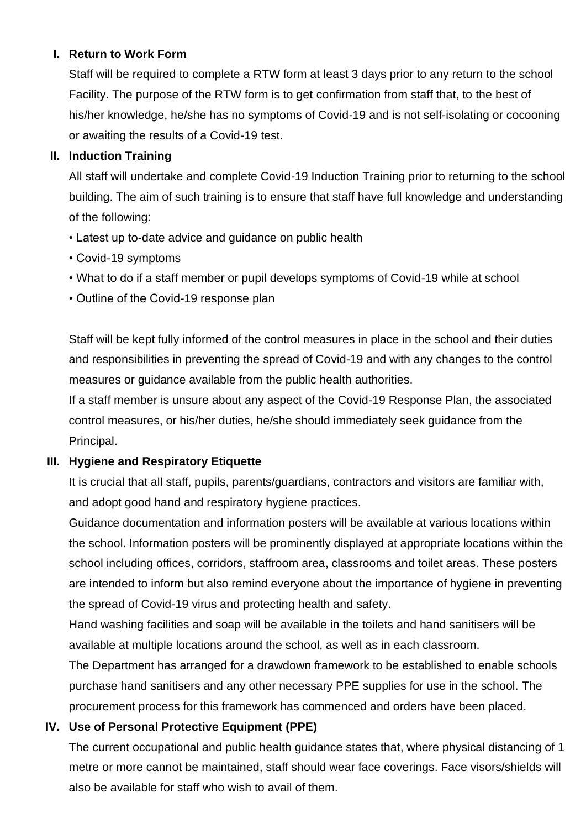# **I. Return to Work Form**

Staff will be required to complete a RTW form at least 3 days prior to any return to the school Facility. The purpose of the RTW form is to get confirmation from staff that, to the best of his/her knowledge, he/she has no symptoms of Covid-19 and is not self-isolating or cocooning or awaiting the results of a Covid-19 test.

# **II. Induction Training**

All staff will undertake and complete Covid-19 Induction Training prior to returning to the school building. The aim of such training is to ensure that staff have full knowledge and understanding of the following:

- Latest up to-date advice and guidance on public health
- Covid-19 symptoms
- What to do if a staff member or pupil develops symptoms of Covid-19 while at school
- Outline of the Covid-19 response plan

Staff will be kept fully informed of the control measures in place in the school and their duties and responsibilities in preventing the spread of Covid-19 and with any changes to the control measures or guidance available from the public health authorities.

If a staff member is unsure about any aspect of the Covid-19 Response Plan, the associated control measures, or his/her duties, he/she should immediately seek guidance from the Principal.

# **III. Hygiene and Respiratory Etiquette**

It is crucial that all staff, pupils, parents/guardians, contractors and visitors are familiar with, and adopt good hand and respiratory hygiene practices.

Guidance documentation and information posters will be available at various locations within the school. Information posters will be prominently displayed at appropriate locations within the school including offices, corridors, staffroom area, classrooms and toilet areas. These posters are intended to inform but also remind everyone about the importance of hygiene in preventing the spread of Covid-19 virus and protecting health and safety.

Hand washing facilities and soap will be available in the toilets and hand sanitisers will be available at multiple locations around the school, as well as in each classroom.

The Department has arranged for a drawdown framework to be established to enable schools purchase hand sanitisers and any other necessary PPE supplies for use in the school. The procurement process for this framework has commenced and orders have been placed.

# **IV. Use of Personal Protective Equipment (PPE)**

The current occupational and public health guidance states that, where physical distancing of 1 metre or more cannot be maintained, staff should wear face coverings. Face visors/shields will also be available for staff who wish to avail of them.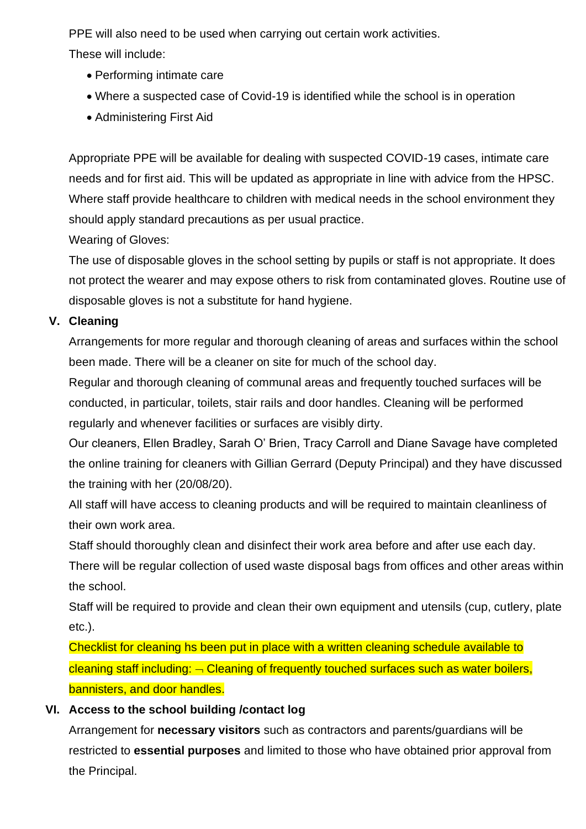PPE will also need to be used when carrying out certain work activities.

These will include:

- Performing intimate care
- Where a suspected case of Covid-19 is identified while the school is in operation
- Administering First Aid

Appropriate PPE will be available for dealing with suspected COVID-19 cases, intimate care needs and for first aid. This will be updated as appropriate in line with advice from the HPSC. Where staff provide healthcare to children with medical needs in the school environment they should apply standard precautions as per usual practice.

Wearing of Gloves:

The use of disposable gloves in the school setting by pupils or staff is not appropriate. It does not protect the wearer and may expose others to risk from contaminated gloves. Routine use of disposable gloves is not a substitute for hand hygiene.

# **V. Cleaning**

Arrangements for more regular and thorough cleaning of areas and surfaces within the school been made. There will be a cleaner on site for much of the school day.

Regular and thorough cleaning of communal areas and frequently touched surfaces will be conducted, in particular, toilets, stair rails and door handles. Cleaning will be performed regularly and whenever facilities or surfaces are visibly dirty.

Our cleaners, Ellen Bradley, Sarah O' Brien, Tracy Carroll and Diane Savage have completed the online training for cleaners with Gillian Gerrard (Deputy Principal) and they have discussed the training with her (20/08/20).

All staff will have access to cleaning products and will be required to maintain cleanliness of their own work area.

Staff should thoroughly clean and disinfect their work area before and after use each day.

There will be regular collection of used waste disposal bags from offices and other areas within the school.

Staff will be required to provide and clean their own equipment and utensils (cup, cutlery, plate etc.).

Checklist for cleaning hs been put in place with a written cleaning schedule available to cleaning staff including:  $\overline{\neg}$  Cleaning of frequently touched surfaces such as water boilers, bannisters, and door handles.

# **VI. Access to the school building /contact log**

Arrangement for **necessary visitors** such as contractors and parents/guardians will be restricted to **essential purposes** and limited to those who have obtained prior approval from the Principal.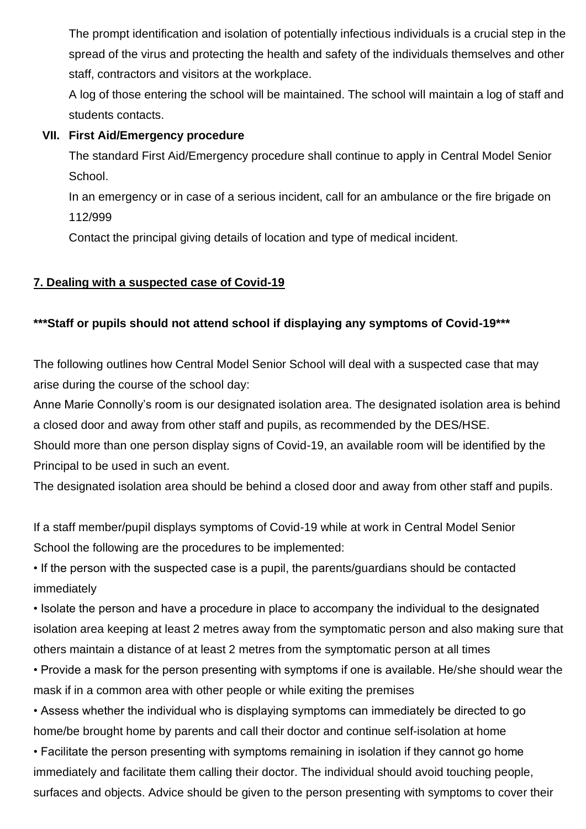The prompt identification and isolation of potentially infectious individuals is a crucial step in the spread of the virus and protecting the health and safety of the individuals themselves and other staff, contractors and visitors at the workplace.

A log of those entering the school will be maintained. The school will maintain a log of staff and students contacts.

# **VII. First Aid/Emergency procedure**

The standard First Aid/Emergency procedure shall continue to apply in Central Model Senior School.

In an emergency or in case of a serious incident, call for an ambulance or the fire brigade on 112/999

Contact the principal giving details of location and type of medical incident.

# **7. Dealing with a suspected case of Covid-19**

# **\*\*\*Staff or pupils should not attend school if displaying any symptoms of Covid-19\*\*\***

The following outlines how Central Model Senior School will deal with a suspected case that may arise during the course of the school day:

Anne Marie Connolly's room is our designated isolation area. The designated isolation area is behind a closed door and away from other staff and pupils, as recommended by the DES/HSE.

Should more than one person display signs of Covid-19, an available room will be identified by the Principal to be used in such an event.

The designated isolation area should be behind a closed door and away from other staff and pupils.

If a staff member/pupil displays symptoms of Covid-19 while at work in Central Model Senior School the following are the procedures to be implemented:

• If the person with the suspected case is a pupil, the parents/guardians should be contacted immediately

• Isolate the person and have a procedure in place to accompany the individual to the designated isolation area keeping at least 2 metres away from the symptomatic person and also making sure that others maintain a distance of at least 2 metres from the symptomatic person at all times

• Provide a mask for the person presenting with symptoms if one is available. He/she should wear the mask if in a common area with other people or while exiting the premises

• Assess whether the individual who is displaying symptoms can immediately be directed to go home/be brought home by parents and call their doctor and continue self-isolation at home

• Facilitate the person presenting with symptoms remaining in isolation if they cannot go home immediately and facilitate them calling their doctor. The individual should avoid touching people, surfaces and objects. Advice should be given to the person presenting with symptoms to cover their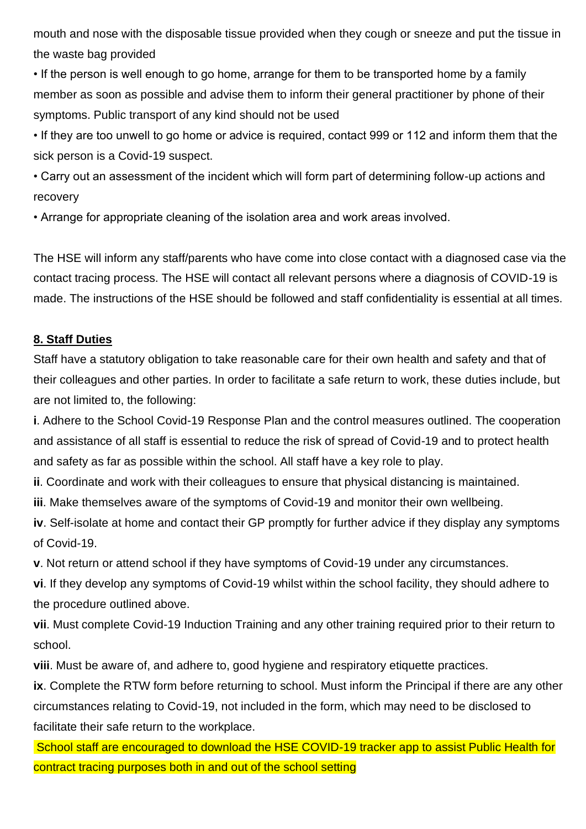mouth and nose with the disposable tissue provided when they cough or sneeze and put the tissue in the waste bag provided

• If the person is well enough to go home, arrange for them to be transported home by a family member as soon as possible and advise them to inform their general practitioner by phone of their symptoms. Public transport of any kind should not be used

• If they are too unwell to go home or advice is required, contact 999 or 112 and inform them that the sick person is a Covid-19 suspect.

• Carry out an assessment of the incident which will form part of determining follow-up actions and recovery

• Arrange for appropriate cleaning of the isolation area and work areas involved.

The HSE will inform any staff/parents who have come into close contact with a diagnosed case via the contact tracing process. The HSE will contact all relevant persons where a diagnosis of COVID-19 is made. The instructions of the HSE should be followed and staff confidentiality is essential at all times.

# **8. Staff Duties**

Staff have a statutory obligation to take reasonable care for their own health and safety and that of their colleagues and other parties. In order to facilitate a safe return to work, these duties include, but are not limited to, the following:

**i**. Adhere to the School Covid-19 Response Plan and the control measures outlined. The cooperation and assistance of all staff is essential to reduce the risk of spread of Covid-19 and to protect health and safety as far as possible within the school. All staff have a key role to play.

**ii**. Coordinate and work with their colleagues to ensure that physical distancing is maintained.

**iii**. Make themselves aware of the symptoms of Covid-19 and monitor their own wellbeing.

**iv**. Self-isolate at home and contact their GP promptly for further advice if they display any symptoms of Covid-19.

**v**. Not return or attend school if they have symptoms of Covid-19 under any circumstances.

**vi**. If they develop any symptoms of Covid-19 whilst within the school facility, they should adhere to the procedure outlined above.

**vii**. Must complete Covid-19 Induction Training and any other training required prior to their return to school.

**viii**. Must be aware of, and adhere to, good hygiene and respiratory etiquette practices.

**ix**. Complete the RTW form before returning to school. Must inform the Principal if there are any other circumstances relating to Covid-19, not included in the form, which may need to be disclosed to facilitate their safe return to the workplace.

School staff are encouraged to download the HSE COVID-19 tracker app to assist Public Health for contract tracing purposes both in and out of the school setting